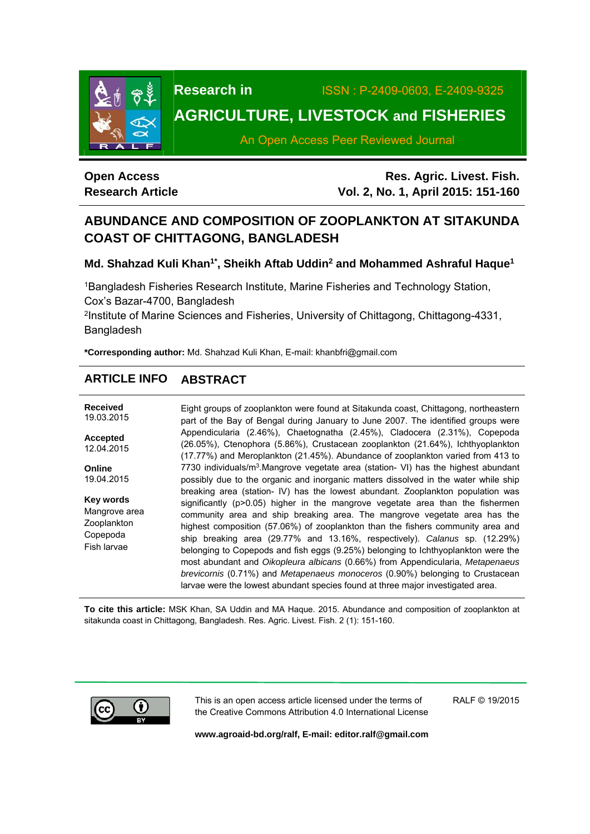

**Research in** ISSN : P-2409-0603, E-2409-9325

# **AGRICULTURE, LIVESTOCK and FISHERIES**

An Open Access Peer Reviewed Journal

# **Open Access Research Article**

**Res. Agric. Livest. Fish. Vol. 2, No. 1, April 2015: 151-160**

# **ABUNDANCE AND COMPOSITION OF ZOOPLANKTON AT SITAKUNDA COAST OF CHITTAGONG, BANGLADESH**

Md. Shahzad Kuli Khan<sup>1\*</sup>, Sheikh Aftab Uddin<sup>2</sup> and Mohammed Ashraful Haque<sup>1</sup>

1Bangladesh Fisheries Research Institute, Marine Fisheries and Technology Station, Cox's Bazar-4700, Bangladesh

2Institute of Marine Sciences and Fisheries, University of Chittagong, Chittagong-4331, Bangladesh

**\*Corresponding author:** Md. Shahzad Kuli Khan, E-mail: khanbfri@gmail.com

# **ARTICLE INFO ABSTRACT**

**Received**  19.03.2015 **Accepted**  12.04.2015 **Online**  19.04.2015 **Key words** Mangrove area **Zooplankton** Copepoda Fish larvae Eight groups of zooplankton were found at Sitakunda coast, Chittagong, northeastern part of the Bay of Bengal during January to June 2007. The identified groups were Appendicularia (2.46%), Chaetognatha (2.45%), Cladocera (2.31%), Copepoda (26.05%), Ctenophora (5.86%), Crustacean zooplankton (21.64%), Ichthyoplankton (17.77%) and Meroplankton (21.45%). Abundance of zooplankton varied from 413 to 7730 individuals/m<sup>3</sup>.Mangrove vegetate area (station- VI) has the highest abundant possibly due to the organic and inorganic matters dissolved in the water while ship breaking area (station- IV) has the lowest abundant. Zooplankton population was significantly (p>0.05) higher in the mangrove vegetate area than the fishermen community area and ship breaking area. The mangrove vegetate area has the highest composition (57.06%) of zooplankton than the fishers community area and ship breaking area (29.77% and 13.16%, respectively). *Calanus* sp. (12.29%) belonging to Copepods and fish eggs (9.25%) belonging to Ichthyoplankton were the most abundant and *Oikopleura albicans* (0.66%) from Appendicularia, *Metapenaeus brevicornis* (0.71%) and *Metapenaeus monoceros* (0.90%) belonging to Crustacean larvae were the lowest abundant species found at three major investigated area.

**To cite this article:** MSK Khan, SA Uddin and MA Haque. 2015. Abundance and composition of zooplankton at sitakunda coast in Chittagong, Bangladesh. Res. Agric. Livest. Fish. 2 (1): 151-160.



This is an open access article licensed under the terms of the Creative Commons Attribution 4.0 International License RALF © 19/2015

**www.agroaid-bd.org/ralf, E-mail: editor.ralf@gmail.com**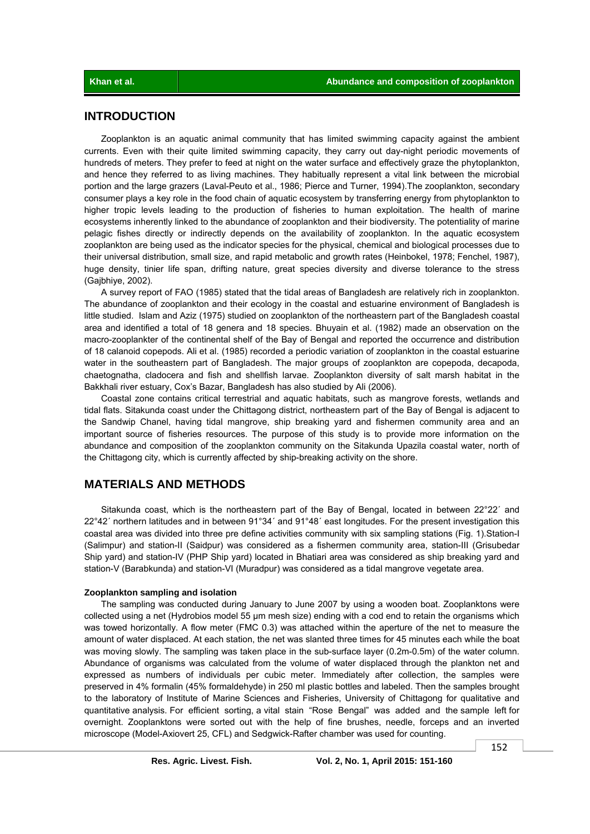# **INTRODUCTION**

 Zooplankton is an aquatic animal community that has limited swimming capacity against the ambient currents. Even with their quite limited swimming capacity, they carry out day-night periodic movements of hundreds of meters. They prefer to feed at night on the water surface and effectively graze the phytoplankton, and hence they referred to as living machines. They habitually represent a vital link between the microbial portion and the large grazers (Laval-Peuto et al., 1986; Pierce and Turner, 1994).The zooplankton, secondary consumer plays a key role in the food chain of aquatic ecosystem by transferring energy from phytoplankton to higher tropic levels leading to the production of fisheries to human exploitation. The health of marine ecosystems inherently linked to the abundance of zooplankton and their biodiversity. The potentiality of marine pelagic fishes directly or indirectly depends on the availability of zooplankton. In the aquatic ecosystem zooplankton are being used as the indicator species for the physical, chemical and biological processes due to their universal distribution, small size, and rapid metabolic and growth rates (Heinbokel, 1978; Fenchel, 1987), huge density, tinier life span, drifting nature, great species diversity and diverse tolerance to the stress (Gajbhiye, 2002).

 A survey report of FAO (1985) stated that the tidal areas of Bangladesh are relatively rich in zooplankton. The abundance of zooplankton and their ecology in the coastal and estuarine environment of Bangladesh is little studied. Islam and Aziz (1975) studied on zooplankton of the northeastern part of the Bangladesh coastal area and identified a total of 18 genera and 18 species. Bhuyain et al. (1982) made an observation on the macro-zooplankter of the continental shelf of the Bay of Bengal and reported the occurrence and distribution of 18 calanoid copepods. Ali et al. (1985) recorded a periodic variation of zooplankton in the coastal estuarine water in the southeastern part of Bangladesh. The major groups of zooplankton are copepoda, decapoda, chaetognatha, cladocera and fish and shellfish larvae. Zooplankton diversity of salt marsh habitat in the Bakkhali river estuary, Cox's Bazar, Bangladesh has also studied by Ali (2006).

 Coastal zone contains critical terrestrial and aquatic habitats, such as mangrove forests, wetlands and tidal flats. Sitakunda coast under the Chittagong district, northeastern part of the Bay of Bengal is adjacent to the Sandwip Chanel, having tidal mangrove, ship breaking yard and fishermen community area and an important source of fisheries resources. The purpose of this study is to provide more information on the abundance and composition of the zooplankton community on the Sitakunda Upazila coastal water, north of the Chittagong city, which is currently affected by ship-breaking activity on the shore.

# **MATERIALS AND METHODS**

Sitakunda coast, which is the northeastern part of the Bay of Bengal, located in between 22°22' and 22°42´ northern latitudes and in between 91°34´ and 91°48´ east longitudes. For the present investigation this coastal area was divided into three pre define activities community with six sampling stations (Fig. 1).Station-I (Salimpur) and station-II (Saidpur) was considered as a fishermen community area, station-III (Grisubedar Ship yard) and station-IV (PHP Ship yard) located in Bhatiari area was considered as ship breaking yard and station-V (Barabkunda) and station-VI (Muradpur) was considered as a tidal mangrove vegetate area.

#### **Zooplankton sampling and isolation**

 The sampling was conducted during January to June 2007 by using a wooden boat. Zooplanktons were collected using a net (Hydrobios model 55 μm mesh size) ending with a cod end to retain the organisms which was towed horizontally. A flow meter (FMC 0.3) was attached within the aperture of the net to measure the amount of water displaced. At each station, the net was slanted three times for 45 minutes each while the boat was moving slowly. The sampling was taken place in the sub-surface layer (0.2m-0.5m) of the water column. Abundance of organisms was calculated from the volume of water displaced through the plankton net and expressed as numbers of individuals per cubic meter. Immediately after collection, the samples were preserved in 4% formalin (45% formaldehyde) in 250 ml plastic bottles and labeled. Then the samples brought to the laboratory of Institute of Marine Sciences and Fisheries, University of Chittagong for qualitative and quantitative analysis. For efficient sorting, a vital stain "Rose Bengal" was added and the sample left for overnight. Zooplanktons were sorted out with the help of fine brushes, needle, forceps and an inverted microscope (Model-Axiovert 25, CFL) and Sedgwick-Rafter chamber was used for counting.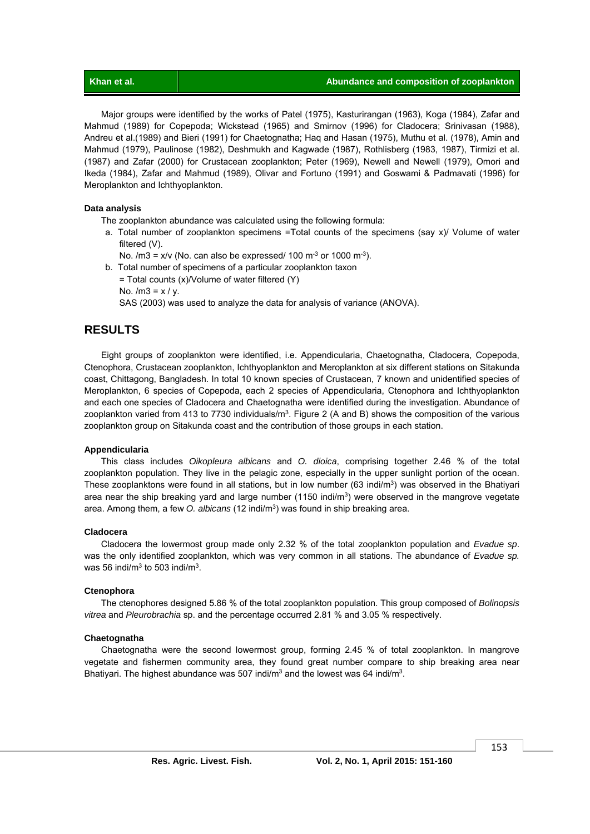| Khan et al. | Abundance and composition of zooplankton |
|-------------|------------------------------------------|
|             |                                          |

 Major groups were identified by the works of Patel (1975), Kasturirangan (1963), Koga (1984), Zafar and Mahmud (1989) for Copepoda; Wickstead (1965) and Smirnov (1996) for Cladocera; Srinivasan (1988), Andreu et al.(1989) and Bieri (1991) for Chaetognatha; Haq and Hasan (1975), Muthu et al. (1978), Amin and Mahmud (1979), Paulinose (1982), Deshmukh and Kagwade (1987), Rothlisberg (1983, 1987), Tirmizi et al. (1987) and Zafar (2000) for Crustacean zooplankton; Peter (1969), Newell and Newell (1979), Omori and Ikeda (1984), Zafar and Mahmud (1989), Olivar and Fortuno (1991) and Goswami & Padmavati (1996) for Meroplankton and Ichthyoplankton.

## **Data analysis**

The zooplankton abundance was calculated using the following formula:

- a. Total number of zooplankton specimens =Total counts of the specimens (say x)/ Volume of water filtered (V).
	- No.  $/m3 = x/v$  (No. can also be expressed/ 100 m<sup>-3</sup> or 1000 m<sup>-3</sup>).
- b. Total number of specimens of a particular zooplankton taxon = Total counts (x)/Volume of water filtered (Y) No.  $/m3 = x / y$ . SAS (2003) was used to analyze the data for analysis of variance (ANOVA).

# **RESULTS**

 Eight groups of zooplankton were identified, i.e. Appendicularia, Chaetognatha, Cladocera, Copepoda, Ctenophora, Crustacean zooplankton, Ichthyoplankton and Meroplankton at six different stations on Sitakunda coast, Chittagong, Bangladesh. In total 10 known species of Crustacean, 7 known and unidentified species of Meroplankton, 6 species of Copepoda, each 2 species of Appendicularia, Ctenophora and Ichthyoplankton and each one species of Cladocera and Chaetognatha were identified during the investigation. Abundance of zooplankton varied from 413 to 7730 individuals/ $m<sup>3</sup>$ . Figure 2 (A and B) shows the composition of the various zooplankton group on Sitakunda coast and the contribution of those groups in each station.

## **Appendicularia**

 This class includes *Oikopleura albicans* and *O. dioica*, comprising together 2.46 % of the total zooplankton population. They live in the pelagic zone, especially in the upper sunlight portion of the ocean. These zooplanktons were found in all stations, but in low number (63 indi/m $3$ ) was observed in the Bhatiyari area near the ship breaking yard and large number (1150 indi/m<sup>3</sup>) were observed in the mangrove vegetate area. Among them, a few *O. albicans* (12 indi/m3) was found in ship breaking area.

### **Cladocera**

 Cladocera the lowermost group made only 2.32 % of the total zooplankton population and *Evadue sp*. was the only identified zooplankton, which was very common in all stations. The abundance of *Evadue sp.* was 56 indi/m<sup>3</sup> to 503 indi/m<sup>3</sup>.

## **Ctenophora**

 The ctenophores designed 5.86 % of the total zooplankton population. This group composed of *Bolinopsis vitrea* and *Pleurobrachia* sp. and the percentage occurred 2.81 % and 3.05 % respectively.

## **Chaetognatha**

 Chaetognatha were the second lowermost group, forming 2.45 % of total zooplankton. In mangrove vegetate and fishermen community area, they found great number compare to ship breaking area near Bhatiyari. The highest abundance was 507 indi/ $m<sup>3</sup>$  and the lowest was 64 indi/ $m<sup>3</sup>$ .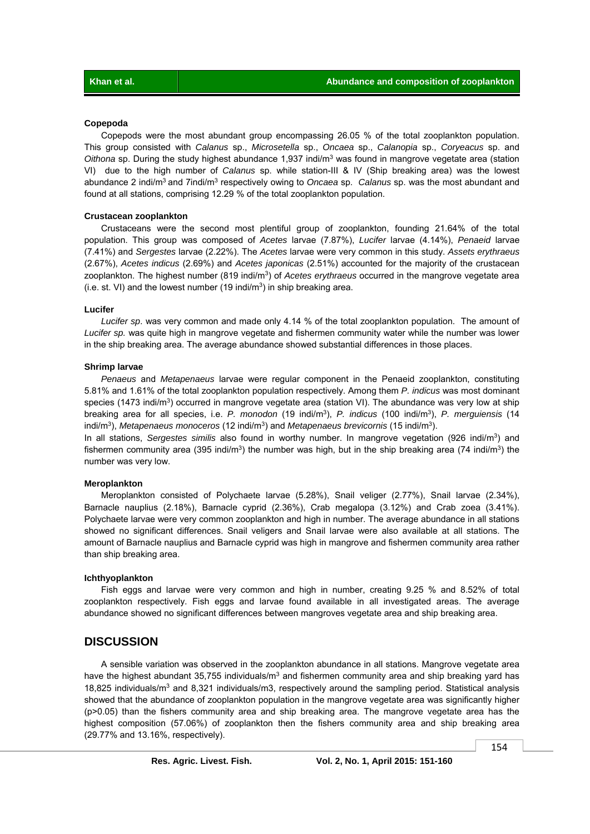#### **Copepoda**

 Copepods were the most abundant group encompassing 26.05 % of the total zooplankton population. This group consisted with *Calanus* sp., *Microsetella* sp., *Oncaea* sp., *Calanopia* sp., *Coryeacus* sp. and *Oithona* sp. During the study highest abundance 1,937 indi/m3 was found in mangrove vegetate area (station VI) due to the high number of *Calanus* sp. while station-III & IV (Ship breaking area) was the lowest abundance 2 indi/m3 and 7indi/m3 respectively owing to *Oncaea* sp. *Calanus* sp. was the most abundant and found at all stations, comprising 12.29 % of the total zooplankton population.

### **Crustacean zooplankton**

 Crustaceans were the second most plentiful group of zooplankton, founding 21.64% of the total population. This group was composed of *Acetes* larvae (7.87%), *Lucifer* larvae (4.14%), *Penaeid* larvae (7.41%) and *Sergestes* larvae (2.22%). The *Acetes* larvae were very common in this study. *Assets erythraeus*  (2.67%), *Acetes indicus* (2.69%) and *Acetes japonicas* (2.51%) accounted for the majority of the crustacean zooplankton. The highest number (819 indi/m3) of *Acetes erythraeus* occurred in the mangrove vegetate area (i.e. st. VI) and the lowest number (19 indi/ $m<sup>3</sup>$ ) in ship breaking area.

#### **Lucifer**

 *Lucifer sp*. was very common and made only 4.14 % of the total zooplankton population. The amount of *Lucifer sp.* was quite high in mangrove vegetate and fishermen community water while the number was lower in the ship breaking area. The average abundance showed substantial differences in those places.

### **Shrimp larvae**

 *Penaeus* and *Metapenaeus* larvae were regular component in the Penaeid zooplankton, constituting 5.81% and 1.61% of the total zooplankton population respectively. Among them *P. indicus* was most dominant species (1473 indi/m<sup>3</sup>) occurred in mangrove vegetate area (station VI). The abundance was very low at ship breaking area for all species, i.e. *P. monodon* (19 indi/m3), *P. indicus* (100 indi/m3), *P. merguiensis* (14 indi/m3), *Metapenaeus monoceros* (12 indi/m3) and *Metapenaeus brevicornis* (15 indi/m3).

In all stations, *Sergestes similis* also found in worthy number. In mangrove vegetation (926 indi/m<sup>3</sup>) and fishermen community area (395 indi/m<sup>3</sup>) the number was high, but in the ship breaking area (74 indi/m<sup>3</sup>) the number was very low.

### **Meroplankton**

 Meroplankton consisted of Polychaete larvae (5.28%), Snail veliger (2.77%), Snail larvae (2.34%), Barnacle nauplius (2.18%), Barnacle cyprid (2.36%), Crab megalopa (3.12%) and Crab zoea (3.41%). Polychaete larvae were very common zooplankton and high in number. The average abundance in all stations showed no significant differences. Snail veligers and Snail larvae were also available at all stations. The amount of Barnacle nauplius and Barnacle cyprid was high in mangrove and fishermen community area rather than ship breaking area.

#### **Ichthyoplankton**

 Fish eggs and larvae were very common and high in number, creating 9.25 % and 8.52% of total zooplankton respectively. Fish eggs and larvae found available in all investigated areas. The average abundance showed no significant differences between mangroves vegetate area and ship breaking area.

## **DISCUSSION**

 A sensible variation was observed in the zooplankton abundance in all stations. Mangrove vegetate area have the highest abundant 35,755 individuals/ $m<sup>3</sup>$  and fishermen community area and ship breaking yard has 18,825 individuals/m<sup>3</sup> and 8,321 individuals/m3, respectively around the sampling period. Statistical analysis showed that the abundance of zooplankton population in the mangrove vegetate area was significantly higher (p>0.05) than the fishers community area and ship breaking area. The mangrove vegetate area has the highest composition (57.06%) of zooplankton then the fishers community area and ship breaking area (29.77% and 13.16%, respectively).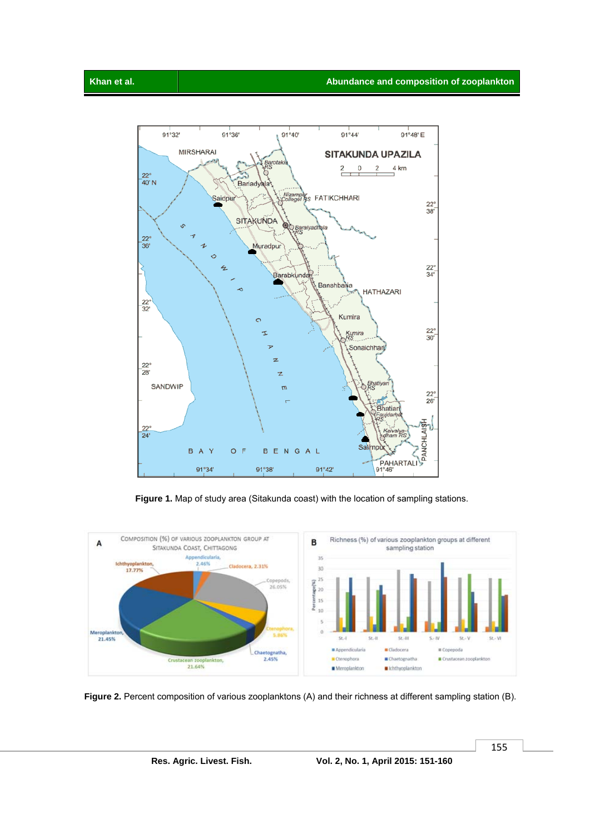



Figure 2. Percent composition of various zooplanktons (A) and their richness at different sampling station (B).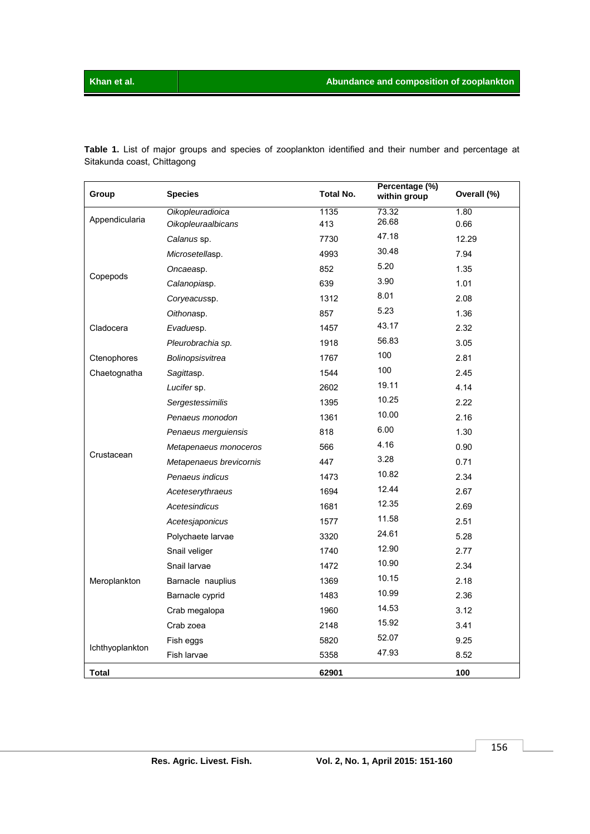**Table 1.** List of major groups and species of zooplankton identified and their number and percentage at Sitakunda coast, Chittagong

| Group           | <b>Species</b>          | <b>Total No.</b> | Percentage (%)<br>within group | Overall (%) |
|-----------------|-------------------------|------------------|--------------------------------|-------------|
| Appendicularia  | Oikopleuradioica        | 1135             | 73.32                          | 1.80        |
|                 | Oikopleuraalbicans      | 413              | 26.68                          | 0.66        |
|                 | Calanus sp.             | 7730             | 47.18                          | 12.29       |
|                 | Microsetellasp.         | 4993             | 30.48                          | 7.94        |
| Copepods        | Oncaeasp.               | 852              | 5.20                           | 1.35        |
|                 | Calanopiasp.            | 639              | 3.90                           | 1.01        |
|                 | Coryeacussp.            | 1312             | 8.01                           | 2.08        |
|                 | Oithonasp.              | 857              | 5.23                           | 1.36        |
| Cladocera       | Evaduesp.               | 1457             | 43.17                          | 2.32        |
|                 | Pleurobrachia sp.       | 1918             | 56.83                          | 3.05        |
| Ctenophores     | Bolinopsisvitrea        | 1767             | 100                            | 2.81        |
| Chaetognatha    | Sagittasp.              | 1544             | 100                            | 2.45        |
|                 | Lucifer sp.             | 2602             | 19.11                          | 4.14        |
|                 | Sergestessimilis        | 1395             | 10.25                          | 2.22        |
|                 | Penaeus monodon         | 1361             | 10.00                          | 2.16        |
|                 | Penaeus merguiensis     | 818              | 6.00                           | 1.30        |
|                 | Metapenaeus monoceros   | 566              | 4.16                           | 0.90        |
| Crustacean      | Metapenaeus brevicornis | 447              | 3.28                           | 0.71        |
|                 | Penaeus indicus         | 1473             | 10.82                          | 2.34        |
|                 | Aceteserythraeus        | 1694             | 12.44                          | 2.67        |
|                 | Acetesindicus           | 1681             | 12.35                          | 2.69        |
|                 | Acetesjaponicus         | 1577             | 11.58                          | 2.51        |
| Meroplankton    | Polychaete larvae       | 3320             | 24.61                          | 5.28        |
|                 | Snail veliger           | 1740             | 12.90                          | 2.77        |
|                 | Snail larvae            | 1472             | 10.90                          | 2.34        |
|                 | Barnacle nauplius       | 1369             | 10.15                          | 2.18        |
|                 | Barnacle cyprid         | 1483             | 10.99                          | 2.36        |
|                 | Crab megalopa           | 1960             | 14.53                          | 3.12        |
|                 | Crab zoea               | 2148             | 15.92                          | 3.41        |
|                 | Fish eggs               | 5820             | 52.07                          | 9.25        |
| Ichthyoplankton | Fish larvae             | 5358             | 47.93                          | 8.52        |
| Total           |                         | 62901            |                                | 100         |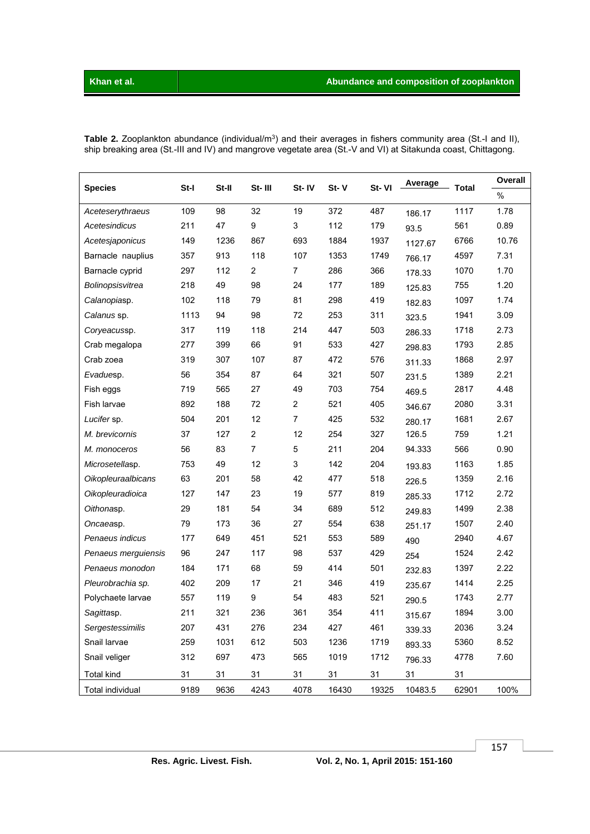| <b>Species</b>            | St-I | St-II | St-III         | St-IV            | $St - V$ | St-VI | Average | <b>Total</b> | Overall |
|---------------------------|------|-------|----------------|------------------|----------|-------|---------|--------------|---------|
|                           |      |       |                |                  |          |       |         |              | $\%$    |
| Aceteserythraeus          | 109  | 98    | 32             | 19               | 372      | 487   | 186.17  | 1117         | 1.78    |
| Acetesindicus             | 211  | 47    | 9              | $\mathsf 3$      | 112      | 179   | 93.5    | 561          | 0.89    |
| Acetesjaponicus           | 149  | 1236  | 867            | 693              | 1884     | 1937  | 1127.67 | 6766         | 10.76   |
| Barnacle nauplius         | 357  | 913   | 118            | 107              | 1353     | 1749  | 766.17  | 4597         | 7.31    |
| Barnacle cyprid           | 297  | 112   | $\overline{2}$ | 7                | 286      | 366   | 178.33  | 1070         | 1.70    |
| Bolinopsisvitrea          | 218  | 49    | 98             | 24               | 177      | 189   | 125.83  | 755          | 1.20    |
| Calanopiasp.              | 102  | 118   | 79             | 81               | 298      | 419   | 182.83  | 1097         | 1.74    |
| Calanus sp.               | 1113 | 94    | 98             | 72               | 253      | 311   | 323.5   | 1941         | 3.09    |
| Coryeacussp.              | 317  | 119   | 118            | 214              | 447      | 503   | 286.33  | 1718         | 2.73    |
| Crab megalopa             | 277  | 399   | 66             | 91               | 533      | 427   | 298.83  | 1793         | 2.85    |
| Crab zoea                 | 319  | 307   | 107            | 87               | 472      | 576   | 311.33  | 1868         | 2.97    |
| Evaduesp.                 | 56   | 354   | 87             | 64               | 321      | 507   | 231.5   | 1389         | 2.21    |
| Fish eggs                 | 719  | 565   | 27             | 49               | 703      | 754   | 469.5   | 2817         | 4.48    |
| Fish larvae               | 892  | 188   | 72             | $\boldsymbol{2}$ | 521      | 405   | 346.67  | 2080         | 3.31    |
| Lucifer sp.               | 504  | 201   | 12             | $\overline{7}$   | 425      | 532   | 280.17  | 1681         | 2.67    |
| M. brevicornis            | 37   | 127   | $\overline{2}$ | 12               | 254      | 327   | 126.5   | 759          | 1.21    |
| M. monoceros              | 56   | 83    | $\overline{7}$ | 5                | 211      | 204   | 94.333  | 566          | 0.90    |
| Microsetellasp.           | 753  | 49    | 12             | 3                | 142      | 204   | 193.83  | 1163         | 1.85    |
| <b>Oikopleuraalbicans</b> | 63   | 201   | 58             | 42               | 477      | 518   | 226.5   | 1359         | 2.16    |
| Oikopleuradioica          | 127  | 147   | 23             | 19               | 577      | 819   | 285.33  | 1712         | 2.72    |
| Oithonasp.                | 29   | 181   | 54             | 34               | 689      | 512   | 249.83  | 1499         | 2.38    |
| Oncaeasp.                 | 79   | 173   | 36             | 27               | 554      | 638   | 251.17  | 1507         | 2.40    |
| Penaeus indicus           | 177  | 649   | 451            | 521              | 553      | 589   | 490     | 2940         | 4.67    |
| Penaeus merguiensis       | 96   | 247   | 117            | 98               | 537      | 429   | 254     | 1524         | 2.42    |
| Penaeus monodon           | 184  | 171   | 68             | 59               | 414      | 501   | 232.83  | 1397         | 2.22    |
| Pleurobrachia sp.         | 402  | 209   | 17             | 21               | 346      | 419   | 235.67  | 1414         | 2.25    |
| Polychaete larvae         | 557  | 119   | 9              | 54               | 483      | 521   | 290.5   | 1743         | 2.77    |
| Sagittasp.                | 211  | 321   | 236            | 361              | 354      | 411   | 315.67  | 1894         | 3.00    |
| Sergestessimilis          | 207  | 431   | 276            | 234              | 427      | 461   | 339.33  | 2036         | 3.24    |
| Snail larvae              | 259  | 1031  | 612            | 503              | 1236     | 1719  | 893.33  | 5360         | 8.52    |
| Snail veliger             | 312  | 697   | 473            | 565              | 1019     | 1712  | 796.33  | 4778         | 7.60    |
| <b>Total kind</b>         | 31   | 31    | 31             | 31               | 31       | 31    | 31      | 31           |         |
| Total individual          | 9189 | 9636  | 4243           | 4078             | 16430    | 19325 | 10483.5 | 62901        | 100%    |

**Table 2.** Zooplankton abundance (individual/m<sup>3</sup>) and their averages in fishers community area (St.-I and II), ship breaking area (St.-III and IV) and mangrove vegetate area (St.-V and VI) at Sitakunda coast, Chittagong.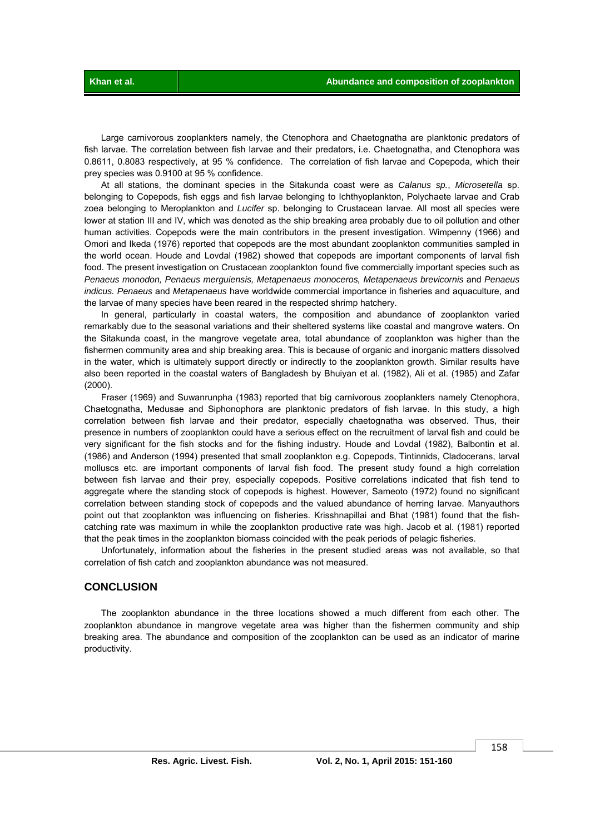Large carnivorous zooplankters namely, the Ctenophora and Chaetognatha are planktonic predators of fish larvae. The correlation between fish larvae and their predators, i.e. Chaetognatha, and Ctenophora was 0.8611, 0.8083 respectively, at 95 % confidence. The correlation of fish larvae and Copepoda, which their prey species was 0.9100 at 95 % confidence.

 At all stations, the dominant species in the Sitakunda coast were as *Calanus sp.*, *Microsetella* sp. belonging to Copepods, fish eggs and fish larvae belonging to Ichthyoplankton, Polychaete larvae and Crab zoea belonging to Meroplankton and *Lucifer* sp. belonging to Crustacean larvae. All most all species were lower at station III and IV, which was denoted as the ship breaking area probably due to oil pollution and other human activities. Copepods were the main contributors in the present investigation. Wimpenny (1966) and Omori and Ikeda (1976) reported that copepods are the most abundant zooplankton communities sampled in the world ocean. Houde and Lovdal (1982) showed that copepods are important components of larval fish food. The present investigation on Crustacean zooplankton found five commercially important species such as Penaeus monodon, Penaeus merguiensis, Metapenaeus monoceros, Metapenaeus brevicornis and Penaeus *indicus. Penaeus* and *Metapenaeus* have worldwide commercial importance in fisheries and aquaculture, and the larvae of many species have been reared in the respected shrimp hatchery.

 In general, particularly in coastal waters, the composition and abundance of zooplankton varied remarkably due to the seasonal variations and their sheltered systems like coastal and mangrove waters. On the Sitakunda coast, in the mangrove vegetate area, total abundance of zooplankton was higher than the fishermen community area and ship breaking area. This is because of organic and inorganic matters dissolved in the water, which is ultimately support directly or indirectly to the zooplankton growth. Similar results have also been reported in the coastal waters of Bangladesh by Bhuiyan et al. (1982), Ali et al. (1985) and Zafar (2000).

 Fraser (1969) and Suwanrunpha (1983) reported that big carnivorous zooplankters namely Ctenophora, Chaetognatha, Medusae and Siphonophora are planktonic predators of fish larvae. In this study, a high correlation between fish larvae and their predator, especially chaetognatha was observed. Thus, their presence in numbers of zooplankton could have a serious effect on the recruitment of larval fish and could be very significant for the fish stocks and for the fishing industry. Houde and Lovdal (1982), Balbontin et al. (1986) and Anderson (1994) presented that small zooplankton e.g. Copepods, Tintinnids, Cladocerans, larval molluscs etc. are important components of larval fish food. The present study found a high correlation between fish larvae and their prey, especially copepods. Positive correlations indicated that fish tend to aggregate where the standing stock of copepods is highest. However, Sameoto (1972) found no significant correlation between standing stock of copepods and the valued abundance of herring larvae. Manyauthors point out that zooplankton was influencing on fisheries. Krisshnapillai and Bhat (1981) found that the fishcatching rate was maximum in while the zooplankton productive rate was high. Jacob et al. (1981) reported that the peak times in the zooplankton biomass coincided with the peak periods of pelagic fisheries.

 Unfortunately, information about the fisheries in the present studied areas was not available, so that correlation of fish catch and zooplankton abundance was not measured.

### **CONCLUSION**

 The zooplankton abundance in the three locations showed a much different from each other. The zooplankton abundance in mangrove vegetate area was higher than the fishermen community and ship breaking area. The abundance and composition of the zooplankton can be used as an indicator of marine productivity.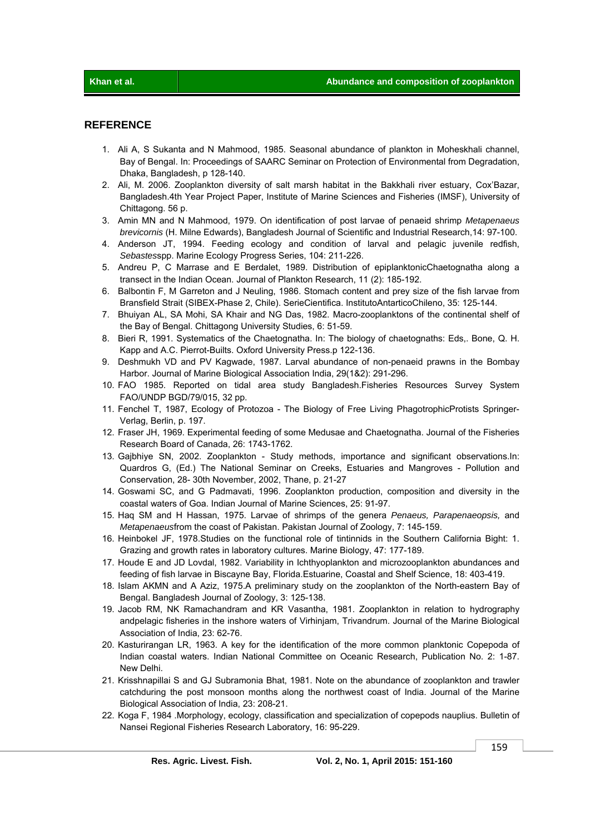# **REFERENCE**

- 1. Ali A, S Sukanta and N Mahmood, 1985. Seasonal abundance of plankton in Moheskhali channel, Bay of Bengal. In: Proceedings of SAARC Seminar on Protection of Environmental from Degradation, Dhaka, Bangladesh, p 128-140.
- 2. Ali, M. 2006. Zooplankton diversity of salt marsh habitat in the Bakkhali river estuary, Cox'Bazar, Bangladesh.4th Year Project Paper, Institute of Marine Sciences and Fisheries (IMSF), University of Chittagong. 56 p.
- 3. Amin MN and N Mahmood, 1979. On identification of post larvae of penaeid shrimp *Metapenaeus brevicornis* (H. Milne Edwards), Bangladesh Journal of Scientific and Industrial Research,14: 97-100.
- 4. Anderson JT, 1994. Feeding ecology and condition of larval and pelagic juvenile redfish, *Sebastes*spp. Marine Ecology Progress Series, 104: 211-226.
- 5. Andreu P, C Marrase and E Berdalet, 1989. Distribution of epiplanktonicChaetognatha along a transect in the Indian Ocean. Journal of Plankton Research, 11 (2): 185-192.
- 6. Balbontin F, M Garreton and J Neuling, 1986. Stomach content and prey size of the fish larvae from Bransfield Strait (SIBEX-Phase 2, Chile). SerieCientifica. InstitutoAntarticoChileno, 35: 125-144.
- 7. Bhuiyan AL, SA Mohi, SA Khair and NG Das, 1982. Macro-zooplanktons of the continental shelf of the Bay of Bengal. Chittagong University Studies, 6: 51-59.
- 8. Bieri R, 1991. Systematics of the Chaetognatha. In: The biology of chaetognaths: Eds,. Bone, Q. H. Kapp and A.C. Pierrot-Builts. Oxford University Press.p 122-136.
- 9. Deshmukh VD and PV Kagwade, 1987. Larval abundance of non-penaeid prawns in the Bombay Harbor. Journal of Marine Biological Association India, 29(1&2): 291-296.
- 10. FAO 1985. Reported on tidal area study Bangladesh.Fisheries Resources Survey System FAO/UNDP BGD/79/015, 32 pp.
- 11. Fenchel T, 1987, Ecology of Protozoa The Biology of Free Living PhagotrophicProtists Springer-Verlag, Berlin, p. 197.
- 12. Fraser JH, 1969. Experimental feeding of some Medusae and Chaetognatha. Journal of the Fisheries Research Board of Canada, 26: 1743-1762.
- 13. Gajbhiye SN, 2002. Zooplankton Study methods, importance and significant observations.In: Quardros G, (Ed.) The National Seminar on Creeks, Estuaries and Mangroves - Pollution and Conservation, 28- 30th November, 2002, Thane, p. 21-27
- 14. Goswami SC, and G Padmavati, 1996. Zooplankton production, composition and diversity in the coastal waters of Goa. Indian Journal of Marine Sciences, 25: 91-97.
- 15. Haq SM and H Hassan, 1975. Larvae of shrimps of the genera *Penaeus, Parapenaeopsis,* and *Metapenaeus*from the coast of Pakistan. Pakistan Journal of Zoology, 7: 145-159.
- 16. Heinbokel JF, 1978.Studies on the functional role of tintinnids in the Southern California Bight: 1. Grazing and growth rates in laboratory cultures. Marine Biology, 47: 177-189.
- 17. Houde E and JD Lovdal, 1982. Variability in Ichthyoplankton and microzooplankton abundances and feeding of fish larvae in Biscayne Bay, Florida.Estuarine, Coastal and Shelf Science, 18: 403-419.
- 18. Islam AKMN and A Aziz, 1975.A preliminary study on the zooplankton of the North-eastern Bay of Bengal. Bangladesh Journal of Zoology, 3: 125-138.
- 19. Jacob RM, NK Ramachandram and KR Vasantha, 1981. Zooplankton in relation to hydrography andpelagic fisheries in the inshore waters of Virhinjam, Trivandrum. Journal of the Marine Biological Association of India, 23: 62-76.
- 20. Kasturirangan LR, 1963. A key for the identification of the more common planktonic Copepoda of Indian coastal waters. Indian National Committee on Oceanic Research, Publication No. 2: 1-87. New Delhi.
- 21. Krisshnapillai S and GJ Subramonia Bhat, 1981. Note on the abundance of zooplankton and trawler catchduring the post monsoon months along the northwest coast of India. Journal of the Marine Biological Association of India, 23: 208-21.
- 22. Koga F, 1984 .Morphology, ecology, classification and specialization of copepods nauplius. Bulletin of Nansei Regional Fisheries Research Laboratory, 16: 95-229.